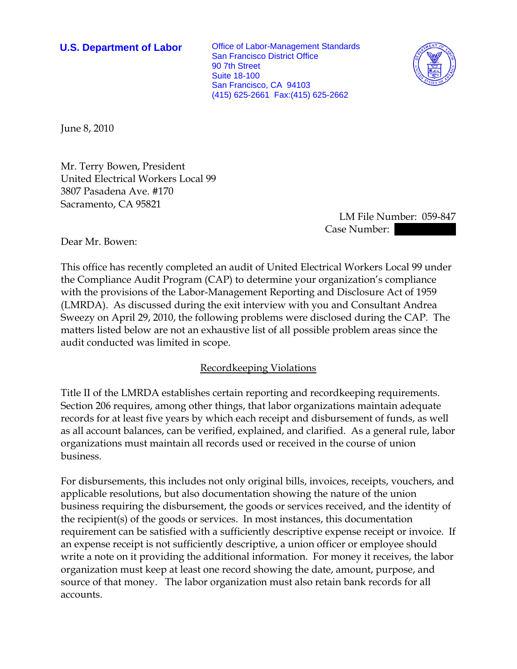**U.S. Department of Labor** Office of Labor-Management Standards San Francisco District Office 90 7th Street Suite 18-100 San Francisco, CA 94103 (415) 625-2661 Fax:(415) 625-2662



June 8, 2010

Mr. Terry Bowen, President United Electrical Workers Local 99 3807 Pasadena Ave. #170 Sacramento, CA 95821

> LM File Number: 059-847 Case Number:  $\blacksquare$

Dear Mr. Bowen:

This office has recently completed an audit of United Electrical Workers Local 99 under the Compliance Audit Program (CAP) to determine your organization's compliance with the provisions of the Labor-Management Reporting and Disclosure Act of 1959 (LMRDA). As discussed during the exit interview with you and Consultant Andrea Sweezy on April 29, 2010, the following problems were disclosed during the CAP. The matters listed below are not an exhaustive list of all possible problem areas since the audit conducted was limited in scope.

## Recordkeeping Violations

Title II of the LMRDA establishes certain reporting and recordkeeping requirements. Section 206 requires, among other things, that labor organizations maintain adequate records for at least five years by which each receipt and disbursement of funds, as well as all account balances, can be verified, explained, and clarified. As a general rule, labor organizations must maintain all records used or received in the course of union business.

For disbursements, this includes not only original bills, invoices, receipts, vouchers, and applicable resolutions, but also documentation showing the nature of the union business requiring the disbursement, the goods or services received, and the identity of the recipient(s) of the goods or services. In most instances, this documentation requirement can be satisfied with a sufficiently descriptive expense receipt or invoice. If an expense receipt is not sufficiently descriptive, a union officer or employee should write a note on it providing the additional information. For money it receives, the labor organization must keep at least one record showing the date, amount, purpose, and source of that money. The labor organization must also retain bank records for all accounts.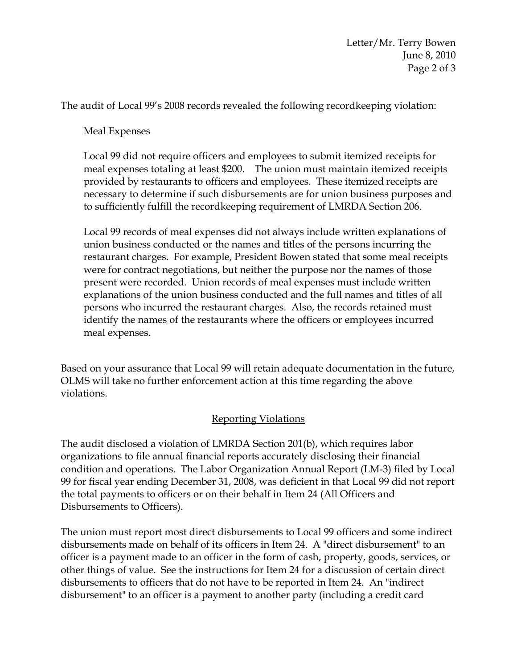The audit of Local 99's 2008 records revealed the following recordkeeping violation:

Meal Expenses

Local 99 did not require officers and employees to submit itemized receipts for meal expenses totaling at least \$200. The union must maintain itemized receipts provided by restaurants to officers and employees. These itemized receipts are necessary to determine if such disbursements are for union business purposes and to sufficiently fulfill the recordkeeping requirement of LMRDA Section 206.

Local 99 records of meal expenses did not always include written explanations of union business conducted or the names and titles of the persons incurring the restaurant charges. For example, President Bowen stated that some meal receipts were for contract negotiations, but neither the purpose nor the names of those present were recorded. Union records of meal expenses must include written explanations of the union business conducted and the full names and titles of all persons who incurred the restaurant charges. Also, the records retained must identify the names of the restaurants where the officers or employees incurred meal expenses.

Based on your assurance that Local 99 will retain adequate documentation in the future, OLMS will take no further enforcement action at this time regarding the above violations.

## Reporting Violations

The audit disclosed a violation of LMRDA Section 201(b), which requires labor organizations to file annual financial reports accurately disclosing their financial condition and operations. The Labor Organization Annual Report (LM-3) filed by Local 99 for fiscal year ending December 31, 2008, was deficient in that Local 99 did not report the total payments to officers or on their behalf in Item 24 (All Officers and Disbursements to Officers).

The union must report most direct disbursements to Local 99 officers and some indirect disbursements made on behalf of its officers in Item 24. A "direct disbursement" to an officer is a payment made to an officer in the form of cash, property, goods, services, or other things of value. See the instructions for Item 24 for a discussion of certain direct disbursements to officers that do not have to be reported in Item 24. An "indirect disbursement" to an officer is a payment to another party (including a credit card